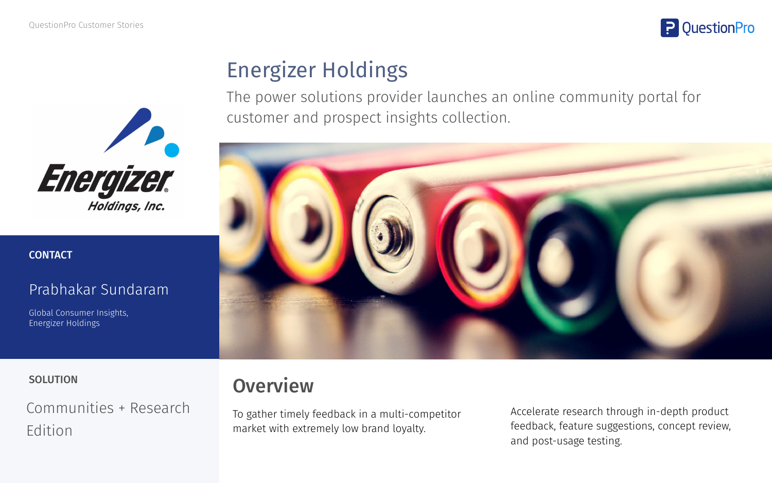



### **CONTACT**

### Prabhakar Sundaram

Global Consumer Insights, Energizer Holdings

# Energizer Holdings

The power solutions provider launches an online community portal for customer and prospect insights collection.



Communities + Research Edition

# SOLUTION **OVERVIEW**

To gather timely feedback in a multi-competitor market with extremely low brand loyalty.

Accelerate research through in-depth product feedback, feature suggestions, concept review, and post-usage testing.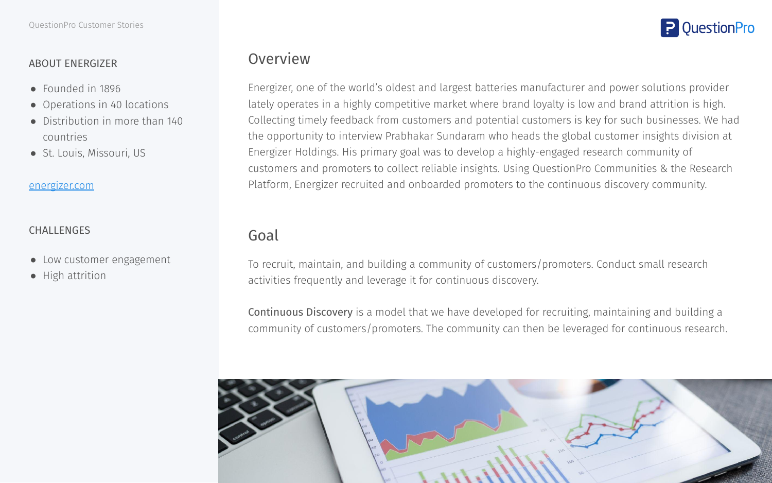### ABOUT ENERGIZER

- Founded in 1896
- Operations in 40 locations
- Distribution in more than 140 countries
- St. Louis, Missouri, US

#### [energizer.com](https://www.energizer.com/)

### CHALLENGES

- Low customer engagement
- High attrition

### Overview

Energizer, one of the world's oldest and largest batteries manufacturer and power solutions provider lately operates in a highly competitive market where brand loyalty is low and brand attrition is high. Collecting timely feedback from customers and potential customers is key for such businesses. We had the opportunity to interview Prabhakar Sundaram who heads the global customer insights division at Energizer Holdings. His primary goal was to develop a highly-engaged research community of customers and promoters to collect reliable insights. Using QuestionPro Communities & the Research Platform, Energizer recruited and onboarded promoters to the continuous discovery community.

### Goal

To recruit, maintain, and building a community of customers/promoters. Conduct small research activities frequently and leverage it for continuous discovery.

Continuous Discovery is a model that we have developed for recruiting, maintaining and building a community of customers/promoters. The community can then be leveraged for continuous research.



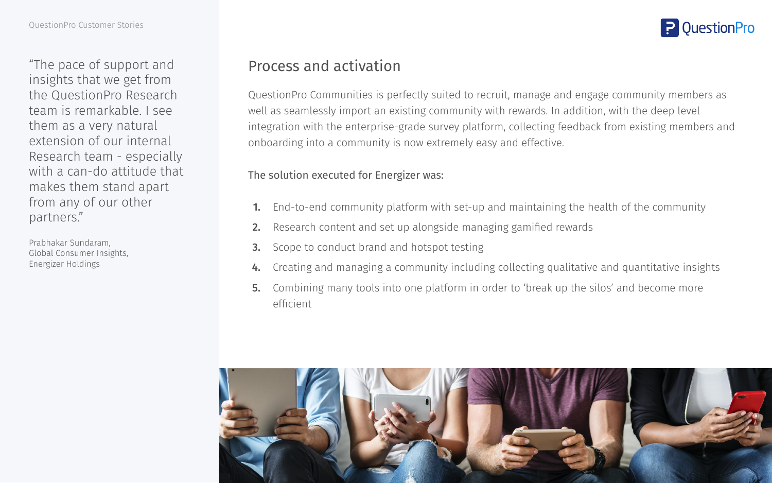"The pace of support and insights that we get from the QuestionPro Research team is remarkable. I see them as a very natural extension of our internal Research team - especially with a can-do attitude that makes them stand apart from any of our other partners."

Prabhakar Sundaram, Global Consumer Insights, Energizer Holdings

### Process and activation

QuestionPro Communities is perfectly suited to recruit, manage and engage community members as well as seamlessly import an existing community with rewards. In addition, with the deep level integration with the enterprise-grade survey platform, collecting feedback from existing members and onboarding into a community is now extremely easy and effective.

### The solution executed for Energizer was:

- 1. End-to-end community platform with set-up and maintaining the health of the community
- 2. Research content and set up alongside managing gamified rewards
- **3.** Scope to conduct brand and hotspot testing
- 4. Creating and managing a community including collecting qualitative and quantitative insights
- 5. Combining many tools into one platform in order to 'break up the silos' and become more efficient